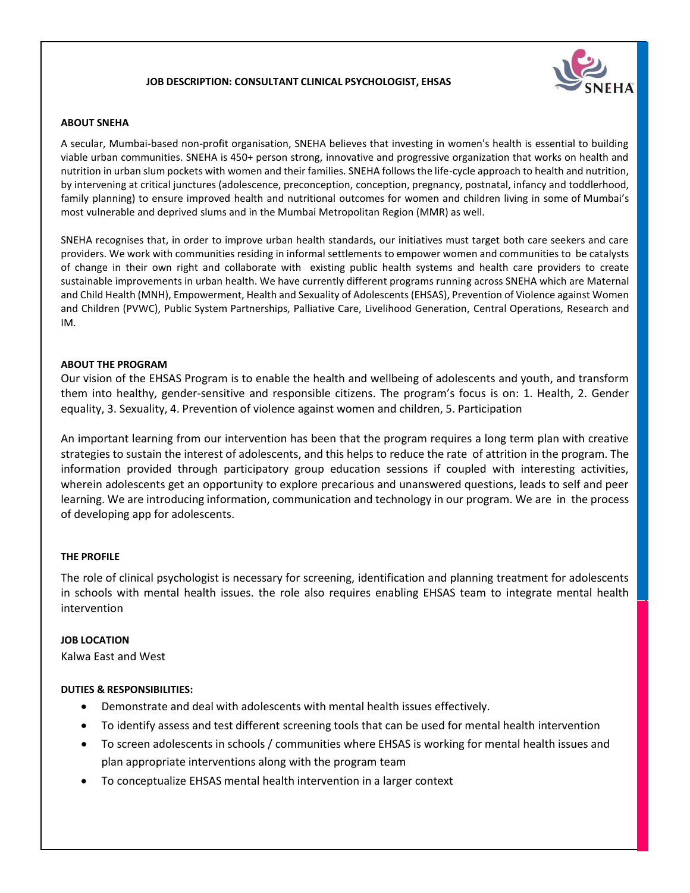### **JOB DESCRIPTION: CONSULTANT CLINICAL PSYCHOLOGIST, EHSAS**



#### **ABOUT SNEHA**

A secular, Mumbai-based non-profit organisation, SNEHA believes that investing in women's health is essential to building viable urban communities. SNEHA is 450+ person strong, innovative and progressive organization that works on health and nutrition in urban slum pockets with women and their families. SNEHA follows the life-cycle approach to health and nutrition, by intervening at critical junctures (adolescence, preconception, conception, pregnancy, postnatal, infancy and toddlerhood, family planning) to ensure improved health and nutritional outcomes for women and children living in some of Mumbai's most vulnerable and deprived slums and in the Mumbai Metropolitan Region (MMR) as well.

SNEHA recognises that, in order to improve urban health standards, our initiatives must target both care seekers and care providers. We work with communities residing in informal settlements to empower women and communities to be catalysts of change in their own right and collaborate with existing public health systems and health care providers to create sustainable improvements in urban health. We have currently different programs running across SNEHA which are Maternal and Child Health (MNH), Empowerment, Health and Sexuality of Adolescents (EHSAS), Prevention of Violence against Women and Children (PVWC), Public System Partnerships, Palliative Care, Livelihood Generation, Central Operations, Research and IM.

#### **ABOUT THE PROGRAM**

Our vision of the EHSAS Program is to enable the health and wellbeing of adolescents and youth, and transform them into healthy, gender-sensitive and responsible citizens. The program's focus is on: 1. Health, 2. Gender equality, 3. Sexuality, 4. Prevention of violence against women and children, 5. Participation

An important learning from our intervention has been that the program requires a long term plan with creative strategies to sustain the interest of adolescents, and this helps to reduce the rate of attrition in the program. The information provided through participatory group education sessions if coupled with interesting activities, wherein adolescents get an opportunity to explore precarious and unanswered questions, leads to self and peer learning. We are introducing information, communication and technology in our program. We are in the process of developing app for adolescents.

### **THE PROFILE**

The role of clinical psychologist is necessary for screening, identification and planning treatment for adolescents in schools with mental health issues. the role also requires enabling EHSAS team to integrate mental health intervention

### **JOB LOCATION**

Kalwa East and West

### **DUTIES & RESPONSIBILITIES:**

- Demonstrate and deal with adolescents with mental health issues effectively.
- To identify assess and test different screening tools that can be used for mental health intervention
- To screen adolescents in schools / communities where EHSAS is working for mental health issues and plan appropriate interventions along with the program team
- To conceptualize EHSAS mental health intervention in a larger context